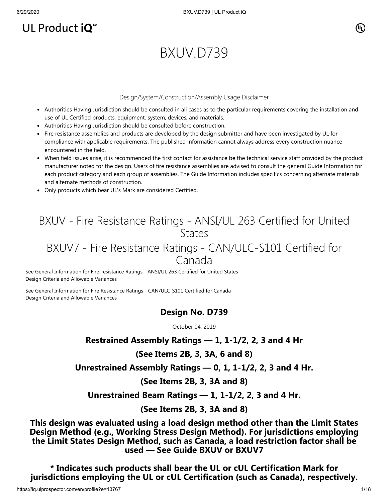# UL Product  $iQ^m$

### $(\mathbb{I}_\mathbb{L})$

# BXUV.D739

#### Design/System/Construction/Assembly Usage Disclaimer

- Authorities Having Jurisdiction should be consulted in all cases as to the particular requirements covering the installation and use of UL Certified products, equipment, system, devices, and materials.
- Authorities Having Jurisdiction should be consulted before construction.
- Fire resistance assemblies and products are developed by the design submitter and have been investigated by UL for compliance with applicable requirements. The published information cannot always address every construction nuance encountered in the field.
- When field issues arise, it is recommended the first contact for assistance be the technical service staff provided by the product manufacturer noted for the design. Users of fire resistance assemblies are advised to consult the general Guide Information for each product category and each group of assemblies. The Guide Information includes specifics concerning alternate materials and alternate methods of construction.
- Only products which bear UL's Mark are considered Certified.

## BXUV - Fire Resistance Ratings - ANSI/UL 263 Certified for United **States**

### BXUV7 - Fire Resistance Ratings - CAN/ULC-S101 Certified for Canada

[See General Information for Fire-resistance Ratings - ANSI/UL 263 Certified for United States](https://iq.ulprospector.com/cgi-bin/XYV/template/LISEXT/1FRAME/showpage.html?name=BXUV.GuideInfo&ccnshorttitle=Fire-resistance+Ratings+-+ANSI/UL+263&objid=1074327030&cfgid=1073741824&version=versionless&parent_id=1073984818&sequence=1) Design Criteria and Allowable Variances

[See General Information for Fire Resistance Ratings - CAN/ULC-S101 Certified for Canada](https://iq.ulprospector.com/cgi-bin/XYV/template/LISEXT/1FRAME/showpage.html?name=BXUV7.GuideInfo&ccnshorttitle=Fire+Resistance+Ratings+-+CAN/ULC-S101+Certified+for+Canada&objid=1074205658&cfgid=1073741824&version=versionless&parent_id=1073984820&sequence=1) Design Criteria and Allowable Variances

#### **Design No. D739**

October 04, 2019

#### **Restrained Assembly Ratings — 1, 1-1/2, 2, 3 and 4 Hr**

#### **(See Items 2B, 3, 3A, 6 and 8)**

**Unrestrained Assembly Ratings — 0, 1, 1-1/2, 2, 3 and 4 Hr.**

**(See Items 2B, 3, 3A and 8)**

**Unrestrained Beam Ratings — 1, 1-1/2, 2, 3 and 4 Hr.**

**(See Items 2B, 3, 3A and 8)**

**This design was evaluated using a load design method other than the Limit States Design Method (e.g., Working Stress Design Method). For jurisdictions employing the Limit States Design Method, such as Canada, a load restriction factor shall be used — See Guide [BXUV](https://database.ul.com/cgi-bin/XYV/template/LISEXT/1FRAME/showpage.html?name=BXUV.GuideInfo&ccnshorttitle=Fire-resistance+Ratings+-+ANSI/UL+263&objid=1074327030&cfgid=1073741824&version=versionless&parent_id=1073984818&sequence=1) or [BXUV7](https://database.ul.com/cgi-bin/XYV/template/LISEXT/1FRAME/showpage.html?name=BXUV7.GuideInfo&ccnshorttitle=Fire+Resistance+Ratings+-+CAN/ULC-S101M+Certified+for+Canada&objid=1074205658&cfgid=1073741824&version=versionless&parent_id=1073984820&sequence=1)**

**\* Indicates such products shall bear the UL or cUL Certification Mark for jurisdictions employing the UL or cUL Certification (such as Canada), respectively.**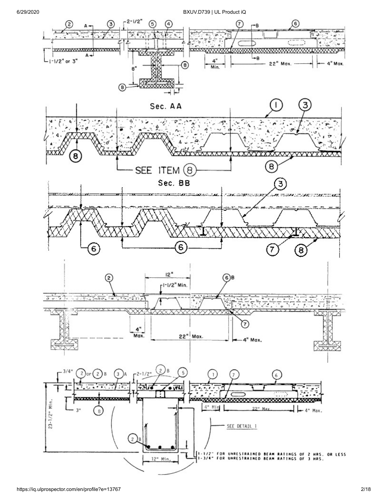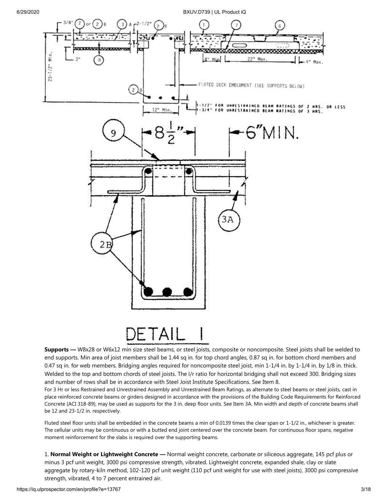

**Supports —** W8x28 or W6x12 min size steel beams, or steel joists, composite or noncomposite. Steel joists shall be welded to end supports. Min area of joist members shall be 1.44 sq in. for top chord angles, 0.87 sq in. for bottom chord members and 0.47 sq in. for web members. Bridging angles required for noncomposite steel joist, min 1-1/4 in. by 1-1/4 in. by 1/8 in. thick. Welded to the top and bottom chords of steel joists. The l/r ratio for horizontal bridging shall not exceed 300. Bridging sizes and number of rows shall be in accordance with Steel Joist Institute Specifications. See Item 8.

For 3 Hr or less Restrained and Unrestrained Assembly and Unrestrained Beam Ratings, as alternate to steel beams or steel joists, cast in place reinforced concrete beams or girders designed in accordance with the provisions of the Building Code Requirements for Reinforced Concrete (ACI 318-89), may be used as supports for the 3 in. deep floor units. See Item 3A. Min width and depth of concrete beams shall be 12 and 23-1/2 in. respectively.

Fluted steel floor units shall be embedded in the concrete beams a min of 0.0139 times the clear span or 1-1/2 in., whichever is greater. The cellular units may be continuous or with a butted end joint centered over the concrete beam. For continuous floor spans, negative moment reinforcement for the slabs is required over the supporting beams.

1. **Normal Weight or Lightweight Concrete —** Normal weight concrete, carbonate or siliceous aggregate, 145 pcf plus or minus 3 pcf unit weight, 3000 psi compressive strength, vibrated. Lightweight concrete, expanded shale, clay or slate aggregate by rotary-kiln method, 102-120 pcf unit weight (110 pcf unit weight for use with steel joists), 3000 psi compressive strength, vibrated, 4 to 7 percent entrained air.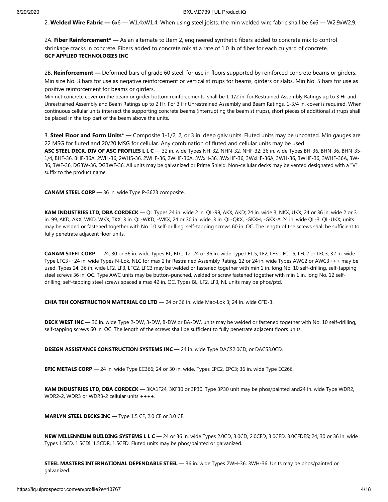2. **Welded Wire Fabric —** 6x6 — W1.4xW1.4. When using steel joists, the min welded wire fabric shall be 6x6 — W2.9xW2.9.

2A. **Fiber Reinforcement\* —** As an alternate to Item 2, engineered synthetic fibers added to concrete mix to control shrinkage cracks in concrete. Fibers added to concrete mix at a rate of 1.0 lb of fiber for each cu yard of concrete. **GCP APPLIED TECHNOLOGIES INC**

2B. **Reinforcement —** Deformed bars of grade 60 steel, for use in floors supported by reinforced concrete beams or girders. Min size No. 3 bars for use as negative reinforcement or vertical stirrups for beams, girders or slabs. Min No. 5 bars for use as positive reinforcement for beams or girders.

Min net concrete cover on the beam or girder bottom reinforcements, shall be 1-1/2 in. for Restrained Assembly Ratings up to 3 Hr and Unrestrained Assembly and Beam Ratings up to 2 Hr. For 3 Hr Unrestrained Assembly and Beam Ratings, 1-3/4 in. cover is required. When continuous cellular units intersect the supporting concrete beams (interrupting the beam stirrups), short pieces of additional stirrups shall be placed in the top part of the beam above the units.

3. **Steel Floor and Form Units\* —** Composite 1-1/2, 2, or 3 in. deep galv units. Fluted units may be uncoated. Min gauges are 22 MSG for fluted and 20/20 MSG for cellular. Any combination of fluted and cellular units may be used.

**ASC STEEL DECK, DIV OF ASC PROFILES L L C** — 32 in. wide Types NH-32, NHN-32, NHF-32; 36 in. wide Types BH-36, BHN-36, BHN-35- 1/4, BHF-36, BHF-36A, 2WH-36, 2WHS-36, 2WHF-36, 2WHF-36A, 3WxH-36, 3WxHF-36, 3WxHF-36A, 3WH-36, 3WHF-36, 3WHF-36A, 3W-36, 3WF-36, DG3W-36, DG3WF-36. All units may be galvanized or Prime Shield. Non-cellular decks may be vented designated with a "V" suffix to the product name.

**CANAM STEEL CORP** — 36 in. wide Type P-3623 composite.

**KAM INDUSTRIES LTD, DBA CORDECK** — QL Types 24 in. wide 2 in. QL-99, AKX, AKD; 24 in. wide 3, NKX, UKX; 24 or 36 in. wide 2 or 3 in. 99, AKD, AKX, WKD, WKX, TKX, 3 in. QL-WKD, -WKX, 24 or 30 in. wide, 3 in. QL-QKX, -GKXH, -GKX-A 24 in. wide QL-3, QL-UKX; units may be welded or fastened together with No. 10 self-drilling, self-tapping screws 60 in. OC. The length of the screws shall be sufficient to fully penetrate adjacent floor units.

**CANAM STEEL CORP** — 24, 30 or 36 in. wide Types BL, BLC; 12, 24 or 36 in. wide Type LF1.5, LF2, LF3, LFC1.5, LFC2 or LFC3; 32 in. wide Type LFC3+; 24 in. wide Types N-Lok, NLC for max 2 hr Restrained Assembly Rating, 12 or 24 in. wide Types AWC2 or AWC3+++ may be used. Types 24, 36 in. wide LF2, LF3, LFC2, LFC3 may be welded or fastened together with min 1 in. long No. 10 self-drilling, self-tapping steel screws 36 in. OC. Type AWC units may be button-punched, welded or screw fastened together with min 1 in. long No. 12 selfdrilling, self-tapping steel screws spaced a max 42 in. OC. Types BL, LF2, LF3, NL units may be phos/ptd.

**CHIA TEH CONSTRUCTION MATERIAL CO LTD** — 24 or 36 in. wide Mac-Lok 3; 24 in. wide CFD-3.

**DECK WEST INC** — 36 in. wide Type 2-DW, 3-DW, B-DW or BA-DW, units may be welded or fastened together with No. 10 self-drilling, self-tapping screws 60 in. OC. The length of the screws shall be sufficient to fully penetrate adjacent floors units.

**DESIGN ASSISTANCE CONSTRUCTION SYSTEMS INC** — 24 in. wide Type DACS2.0CD, or DACS3.0CD.

**EPIC METALS CORP** — 24 in. wide Type EC366; 24 or 30 in. wide, Types EPC2, EPC3; 36 in. wide Type EC266.

**KAM INDUSTRIES LTD, DBA CORDECK** — 3KA1F24, 3KF30 or 3P30. Type 3P30 unit may be phos/painted and24 in. wide Type WDR2, WDR2-2, WDR3 or WDR3-2 cellular units ++++.

**MARLYN STEEL DECKS INC** — Type 1.5 CF, 2.0 CF or 3.0 CF.

**NEW MILLENNIUM BUILDING SYSTEMS L L C** — 24 or 36 in. wide Types 2.0CD, 3.0CD, 2.0CFD, 3.0CFD, 3.0CFDES; 24, 30 or 36 in. wide Types 1.5CD, 1.5CDI, 1.5CDR, 1.5CFD. Fluted units may be phos/painted or galvanized.

**STEEL MASTERS INTERNATIONAL DEPENDABLE STEEL** — 36 in. wide Types 2WH-36, 3WH-36. Units may be phos/painted or galvanized.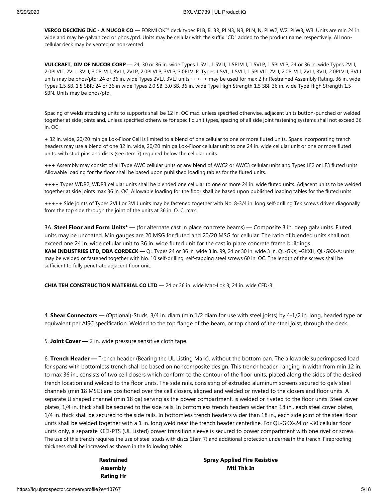**VERCO DECKING INC - A NUCOR CO** — FORMLOK™ deck types PLB, B, BR, PLN3, N3, PLN, N, PLW2, W2, PLW3, W3. Units are min 24 in. wide and may be galvanized or phos./ptd. Units may be cellular with the suffix "CD" added to the product name, respectively. All noncellular deck may be vented or non-vented.

**VULCRAFT, DIV OF NUCOR CORP** — 24, 30 or 36 in. wide Types 1.5VL, 1.5VLI, 1.5PLVLI, 1.5VLP, 1.5PLVLP; 24 or 36 in. wide Types 2VLI, 2.0PLVLI, 2VLJ, 3VLI, 3.0PLVLI, 3VLJ, 2VLP, 2.0PLVLP, 3VLP, 3.0PLVLP. Types 1.5VL, 1.5VLI, 1.5PLVLI, 2VLI, 2.0PLVLI, 2VLJ, 3VLI, 2.0PLVLI, 3VLJ units may be phos/ptd; 24 or 36 in. wide Types 2VLJ, 3VLJ units+++++ may be used for max 2 hr Restrained Assembly Rating. 36 in. wide Types 1.5 SB, 1.5 SBR; 24 or 36 in wide Types 2.0 SB, 3.0 SB, 36 in. wide Type High Strength 1.5 SBI, 36 in. wide Type High Strength 1.5 SBN. Units may be phos/ptd.

Spacing of welds attaching units to supports shall be 12 in. OC max. unless specified otherwise, adjacent units button-punched or welded together at side joints and, unless specified otherwise for specific unit types, spacing of all side joint fastening systems shall not exceed 36 in. OC.

+ 32 in. wide, 20/20 min ga Lok-Floor Cell is limited to a blend of one cellular to one or more fluted units. Spans incorporating trench headers may use a blend of one 32 in. wide, 20/20 min ga Lok-Floor cellular unit to one 24 in. wide cellular unit or one or more fluted units, with stud pins and discs (see item 7) required below the cellular units.

+++ Assembly may consist of all Type AWC cellular units or any blend of AWC2 or AWC3 cellular units and Types LF2 or LF3 fluted units. Allowable loading for the floor shall be based upon published loading tables for the fluted units.

++++ Types WDR2, WDR3 cellular units shall be blended one cellular to one or more 24 in. wide fluted units. Adjacent units to be welded together at side joints max 36 in. OC. Allowable loading for the floor shall be based upon published loading tables for the fluted units.

+++++ Side joints of Types 2VLJ or 3VLJ units may be fastened together with No. 8-3/4 in. long self-drilling Tek screws driven diagonally from the top side through the joint of the units at 36 in. O. C. max.

3A. **Steel Floor and Form Units\* —** (for alternate cast in place concrete beams) — Composite 3 in. deep galv units. Fluted units may be uncoated. Min gauges are 20 MSG for fluted and 20/20 MSG for cellular. The ratio of blended units shall not exceed one 24 in. wide cellular unit to 36 in. wide fluted unit for the cast in place concrete frame buildings. **KAM INDUSTRIES LTD, DBA CORDECK** — QL Types 24 or 36 in. wide 3 in. 99, 24 or 30 in. wide 3 in. QL-GKX, -GKXH, QL-GKX-A; units may be welded or fastened together with No. 10 self-drilling, self-tapping steel screws 60 in. OC. The length of the screws shall be sufficient to fully penetrate adjacent floor unit.

**CHIA TEH CONSTRUCTION MATERIAL CO LTD** — 24 or 36 in. wide Mac-Lok 3; 24 in. wide CFD-3.

4. **Shear Connectors —** (Optional)-Studs, 3/4 in. diam (min 1/2 diam for use with steel joists) by 4-1/2 in. long, headed type or equivalent per AISC specification. Welded to the top flange of the beam, or top chord of the steel joist, through the deck.

5. **Joint Cover —** 2 in. wide pressure sensitive cloth tape.

6. **Trench Header —** Trench header (Bearing the UL Listing Mark), without the bottom pan. The allowable superimposed load for spans with bottomless trench shall be based on noncomposite design. This trench header, ranging in width from min 12 in. to max 36 in., consists of two cell closers which conform to the contour of the floor units, placed along the sides of the desired trench location and welded to the floor units. The side rails, consisting of extruded aluminum screens secured to galv steel channels (min 18 MSG) are positioned over the cell closers, aligned and welded or riveted to the closers and floor units. A separate U shaped channel (min 18 ga) serving as the power compartment, is welded or riveted to the floor units. Steel cover plates, 1/4 in. thick shall be secured to the side rails. In bottomless trench headers wider than 18 in., each steel cover plates, 1/4 in. thick shall be secured to the side rails. In bottomless trench headers wider than 18 in., each side joint of the steel floor units shall be welded together with a 1 in. long weld near the trench header centerline. For QL-GKX-24 or -30 cellular floor units only, a separate KED-PTS (UL Listed) power transition sleeve is secured to power compartment with one rivet or screw. The use of this trench requires the use of steel studs with discs (Item 7) and additional protection underneath the trench. Fireproofing thickness shall be increased as shown in the following table:

> **Restrained Assembly Rating Hr**

**Spray Applied Fire Resistive Mtl Thk In**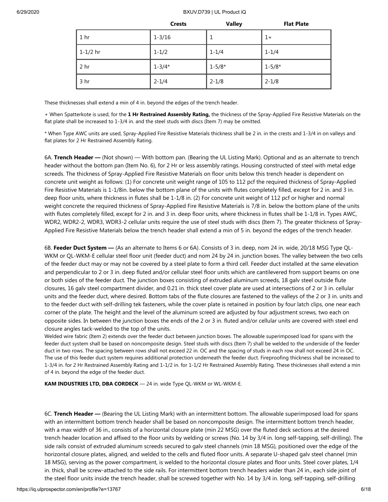|                 | <b>Crests</b> | <b>Valley</b> | <b>Flat Plate</b> |
|-----------------|---------------|---------------|-------------------|
| 1 <sub>hr</sub> | $1 - 3/16$    | 1             | $1+$              |
| $1 - 1/2$ hr    | $1 - 1/2$     | $1 - 1/4$     | $1 - 1/4$         |
| 2 hr            | $1 - 3/4*$    | $1 - 5/8*$    | $1 - 5/8*$        |
| 3 hr            | $2 - 1/4$     | $2 - 1/8$     | $2 - 1/8$         |

These thicknesses shall extend a min of 4 in. beyond the edges of the trench header.

+ When Spatterkote is used, for the **1 Hr Restrained Assembly Rating,** the thickness of the Spray-Applied Fire Resistive Materials on the flat plate shall be increased to 1-3/4 in. and the steel studs with discs (Item 7) may be omitted.

\* When Type AWC units are used, Spray-Applied Fire Resistive Materials thickness shall be 2 in. in the crests and 1-3/4 in on valleys and flat plates for 2 Hr Restrained Assembly Rating.

6A. **Trench Header —** (Not shown) — With bottom pan. (Bearing the UL Listing Mark). Optional and as an alternate to trench header without the bottom pan (Item No. 6), for 2 Hr or less assembly ratings. Housing constructed of steel with metal edge screeds. The thickness of Spray-Applied Fire Resistive Materials on floor units below this trench header is dependent on concrete unit weight as follows: (1) For concrete unit weight range of 105 to 112 pcf the required thickness of Spray-Applied Fire Resistive Materials is 1-1/8in. below the bottom plane of the units with flutes completely filled, except for 2 in. and 3 in. deep floor units, where thickness in flutes shall be 1-1/8 in. (2) For concrete unit weight of 112 pcf or higher and normal weight concrete the required thickness of Spray-Applied Fire Resistive Materials is 7/8 in. below the bottom plane of the units with flutes completely filled, except for 2 in. and 3 in. deep floor units, where thickness in flutes shall be 1-1/8 in. Types AWC, WDR2, WDR2-2, WDR3, WDR3-2 cellular units require the use of steel studs with discs (Item 7). The greater thickness of Spray-Applied Fire Resistive Materials below the trench header shall extend a min of 5 in. beyond the edges of the trench header.

6B. **Feeder Duct System —** (As an alternate to Items 6 or 6A). Consists of 3 in. deep, nom 24 in. wide, 20/18 MSG Type QL-WKM or QL-WKM-E cellular steel floor unit (feeder duct) and nom 24 by 24 in. junction boxes. The valley between the two cells of the feeder duct may or may not be covered by a steel plate to form a third cell. Feeder duct installed at the same elevation and perpendicular to 2 or 3 in. deep fluted and/or cellular steel floor units which are cantilevered from support beams on one or both sides of the feeder duct. The junction boxes consisting of extruded aluminum screeds, 18 galv steel outside flute closures, 16 galv steel compartment divider, and 0.21 in. thick steel cover plate are used at intersections of 2 or 3 in. cellular units and the feeder duct, where desired. Bottom tabs of the flute closures are fastened to the valleys of the 2 or 3 in. units and to the feeder duct with self-drilling tek fasteners, while the cover plate is retained in position by four latch clips, one near each corner of the plate. The height and the level of the aluminum screed are adjusted by four adjustment screws, two each on opposite sides. In between the junction boxes the ends of the 2 or 3 in. fluted and/or cellular units are covered with steel end closure angles tack-welded to the top of the units.

Welded wire fabric (Item 2) extends over the feeder duct between junction boxes. The allowable superimposed load for spans with the feeder duct system shall be based on noncomposite design. Steel studs with discs (Item 7) shall be welded to the underside of the feeder duct in two rows. The spacing between rows shall not exceed 22 in. OC and the spacing of studs in each row shall not exceed 24 in OC. The use of this feeder duct system requires additional protection underneath the feeder duct. Fireproofing thickness shall be increased to 1-3/4 in. for 2 Hr Restrained Assembly Rating and 1-1/2 in. for 1-1/2 Hr Restrained Assembly Rating. These thicknesses shall extend a min of 4 in. beyond the edge of the feeder duct.

**KAM INDUSTRIES LTD, DBA CORDECK** — 24 in. wide Type QL-WKM or WL-WKM-E.

6C. **Trench Header —** (Bearing the UL Listing Mark) with an intermittent bottom. The allowable superimposed load for spans with an intermittent bottom trench header shall be based on noncomposite design. The intermittent bottom trench header, with a max width of 36 in., consists of a horizontal closure plate (min 22 MSG) over the fluted deck sections at the desired trench header location and affixed to the floor units by welding or screws (No. 14 by 3/4 in. long self-tapping, self-drilling). The side rails consist of extruded aluminum screeds secured to galv steel channels (min 18 MSG), positioned over the edge of the horizontal closure plates, aligned, and welded to the cells and fluted floor units. A separate U-shaped galv steel channel (min 18 MSG), serving as the power compartment, is welded to the horizontal closure plates and floor units. Steel cover plates, 1/4 in. thick, shall be screw-attached to the side rails. For intermittent bottom trench headers wider than 24 in., each side joint of the steel floor units inside the trench header, shall be screwed together with No. 14 by 3/4 in. long, self-tapping, self-drilling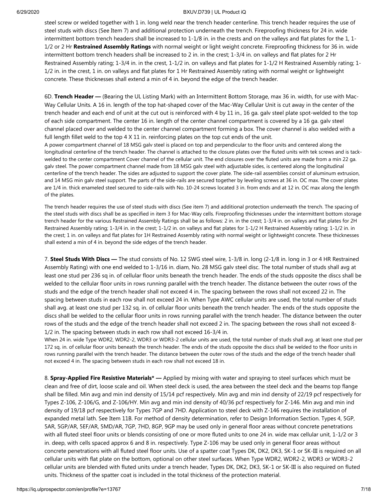steel screw or welded together with 1 in. long weld near the trench header centerline. This trench header requires the use of steel studs with discs (See Item 7) and additional protection underneath the trench. Fireproofing thickness for 24 in. wide intermittent bottom trench headers shall be increased to 1-1/8 in. in the crests and on the valleys and flat plates for the 1, 1- 1/2 or 2 Hr **Restrained Assembly Ratings** with normal weight or light weight concrete. Fireproofing thickness for 36 in. wide intermittent bottom trench headers shall be increased to 2 in. in the crest; 1-3/4 in. on valleys and flat plates for 2 Hr Restrained Assembly rating; 1-3/4 in. in the crest, 1-1/2 in. on valleys and flat plates for 1-1/2 H Restrained Assembly rating; 1- 1/2 in. in the crest, 1 in. on valleys and flat plates for 1 Hr Restrained Assembly rating with normal weight or lightweight concrete. These thicknesses shall extend a min of 4 in. beyond the edge of the trench header.

6D. **Trench Header —** (Bearing the UL Listing Mark) with an Intermittent Bottom Storage, max 36 in. width, for use with Mac-Way Cellular Units. A 16 in. length of the top hat-shaped cover of the Mac-Way Cellular Unit is cut away in the center of the trench header and each end of unit at the cut out is reinforced with 4 by 11 in., 16 ga. galv steel plate spot-welded to the top of each side compartment. The center 16 in. length of the center channel compartment is covered by a 16 ga. galv steel channel placed over and welded to the center channel compartment forming a box. The cover channel is also welded with a full length fillet weld to the top 4 X 11 in. reinforcing plates on the top cut ends of the unit.

A power compartment channel of 18 MSG galv steel is placed on top and perpendicular to the floor units and centered along the longitudinal centerline of the trench header. The channel is attached to the closure plates over the fluted units with tek screws and is tackwelded to the center compartment Cover channel of the cellular unit. The end closures over the fluted units are made from a min 22 ga. galv steel. The power compartment channel made from 18 MSG galv steel with adjustable sides, is centered along the longitudinal centerline of the trench header. The sides are adjusted to support the cover plate. The side-rail assemblies consist of aluminum extrusion, and 14 MSG min galv steel support. The parts of the side-rails are secured together by leveling screws at 36 in. OC max. The cover plates are 1/4 in. thick enameled steel secured to side-rails with No. 10-24 screws located 3 in. from ends and at 12 in. OC max along the length of the plates.

The trench header requires the use of steel studs with discs (See item 7) and additional protection underneath the trench. The spacing of the steel studs with discs shall be as specified in item 3 for Mac-Way cells. Fireproofing thicknesses under the intermittent bottom storage trench header for the various Restrained Assembly Ratings shall be as follows: 2 in. in the crest; 1-3/4 in. on valleys and flat plates for 2H Restrained Assembly rating; 1-3/4 in. in the crest; 1-1/2 in. on valleys and flat plates for 1-1/2 H Restrained Assembly rating; 1-1/2 in. in the crest; 1 in. on valleys and flat plates for 1H Restrained Assembly rating with normal weight or lightweight concrete. These thicknesses shall extend a min of 4 in. beyond the side edges of the trench header.

7. **Steel Studs With Discs —** The stud consists of No. 12 SWG steel wire, 1-3/8 in. long (2-1/8 in. long in 3 or 4 HR Restrained Assembly Rating) with one end welded to 1-3/16 in. diam, No. 28 MSG galv steel disc. The total number of studs shall avg at least one stud per 236 sq in. of cellular floor units beneath the trench header. The ends of the studs opposite the discs shall be welded to the cellular floor units in rows running parallel with the trench header. The distance between the outer rows of the studs and the edge of the trench header shall not exceed 4 in. The spacing between the rows shall not exceed 22 in. The spacing between studs in each row shall not exceed 24 in. When Type AWC cellular units are used, the total number of studs shall avg. at least one stud per 132 sq. in. of cellular floor units beneath the trench header. The ends of the studs opposite the discs shall be welded to the cellular floor units in rows running parallel with the trench header. The distance between the outer rows of the studs and the edge of the trench header shall not exceed 2 in. The spacing between the rows shall not exceed 8- 1/2 in. The spacing between studs in each row shall not exceed 16-3/4 in.

When 24 in. wide Type WDR2, WDR2-2, WDR3 or WDR3-2 cellular units are used, the total number of studs shall avg. at least one stud per 172 sq. in. of cellular floor units beneath the trench header. The ends of the studs opposite the discs shall be welded to the floor units in rows running parallel with the trench header. The distance between the outer rows of the studs and the edge of the trench header shall not exceed 4 in. The spacing between studs in each row shall not exceed 18 in.

8. **Spray-Applied Fire Resistive Materials\* —** Applied by mixing with water and spraying to steel surfaces which must be clean and free of dirt, loose scale and oil. When steel deck is used, the area between the steel deck and the beams top flange shall be filled. Min avg and min ind density of 15/14 pcf respectively. Min avg and min ind density of 22/19 pcf respectively for Types Z-106, Z-106/G, and Z-106/HY. Min avg and min ind density of 40/36 pcf respectively for Z-146. Min avg and min ind density of 19/18 pcf respectively for Types 7GP and 7HD. Application to steel deck with Z-146 requires the installation of expanded metal lath. See Item 11B. For method of density determination, refer to Design Information Section. Types 4, 5GP, 5AR, 5GP/AR, 5EF/AR, 5MD/AR, 7GP, 7HD, 8GP, 9GP may be used only in general floor areas without concrete penetrations with all fluted steel floor units or blends consisting of one or more fluted units to one 24 in. wide max cellular unit, 1-1/2 or 3 in. deep, with cells spaced approx 6 and 8 in. respectively. Type Z-106 may be used only in general floor areas without concrete penetrations with all fluted steel floor units. Use of a spatter coat Types DK, DK2, DK3, SK-1 or SK-III is required on all cellular units with flat plate on the bottom, optional on other steel surfaces. When Type WDR2, WDR2-2, WDR3 or WDR3-2 cellular units are blended with fluted units under a trench header, Types DK, DK2, DK3, SK-1 or SK-III is also required on fluted units. Thickness of the spatter coat is included in the total thickness of the protection material.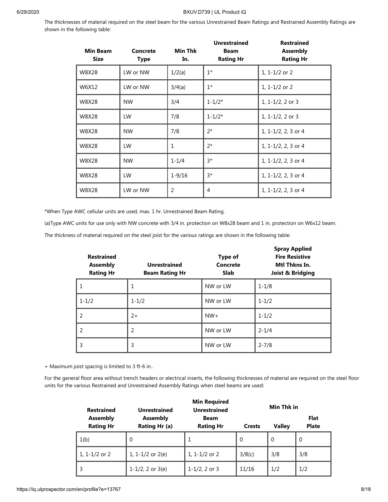The thicknesses of material required on the steel beam for the various Unrestrained Beam Ratings and Restrained Assembly Ratings are shown in the following table:

| <b>Min Beam</b><br><b>Size</b> | Concrete<br><b>Type</b> | <b>Min Thk</b><br>In. | <b>Unrestrained</b><br><b>Beam</b><br><b>Rating Hr</b> | <b>Restrained</b><br><b>Assembly</b><br><b>Rating Hr</b> |
|--------------------------------|-------------------------|-----------------------|--------------------------------------------------------|----------------------------------------------------------|
| W8X28                          | LW or NW                | 1/2(a)                | $1*$                                                   | 1, $1 - 1/2$ or 2                                        |
| W6X12                          | LW or NW                | 3/4(a)                | $1*$                                                   | 1, $1 - 1/2$ or 2                                        |
| W8X28                          | <b>NW</b>               | 3/4                   | $1 - 1/2*$                                             | 1, $1 - \frac{1}{2}$ , 2 or 3                            |
| W8X28                          | LW.                     | 7/8                   | $1 - 1/2*$                                             | $1, 1 - 1/2, 2$ or 3                                     |
| W8X28                          | <b>NW</b>               | 7/8                   | $2^*$                                                  | 1, 1-1/2, 2, 3 or 4                                      |
| W8X28                          | LW                      | 1                     | $2^*$                                                  | 1, 1-1/2, 2, 3 or 4                                      |
| W8X28                          | <b>NW</b>               | $1 - 1/4$             | $3*$                                                   | 1, 1-1/2, 2, 3 or 4                                      |
| W8X28                          | LW.                     | $1 - 9/16$            | $3*$                                                   | 1, 1-1/2, 2, 3 or 4                                      |
| W8X28                          | LW or NW                | $\overline{2}$        | 4                                                      | 1, 1-1/2, 2, 3 or 4                                      |

\*When Type AWC cellular units are used, max. 1 hr. Unrestrained Beam Rating.

(a)Type AWC units for use only with NW concrete with 3/4 in. protection on W8x28 beam and 1 in. protection on W6x12 beam.

The thickness of material required on the steel joist for the various ratings are shown in the following table:

| <b>Restrained</b><br><b>Assembly</b><br><b>Rating Hr</b> | <b>Unrestrained</b><br><b>Beam Rating Hr</b> | <b>Type of</b><br>Concrete<br><b>Slab</b> | <b>Spray Applied</b><br><b>Fire Resistive</b><br>Mtl Thkns In.<br><b>Joist &amp; Bridging</b> |
|----------------------------------------------------------|----------------------------------------------|-------------------------------------------|-----------------------------------------------------------------------------------------------|
|                                                          | 1                                            | NW or LW                                  | $1 - 1/8$                                                                                     |
| $1 - 1/2$                                                | $1 - 1/2$                                    | NW or LW                                  | $1 - 1/2$                                                                                     |
| $\mathcal{P}$                                            | $2+$                                         | $NW+$                                     | $1 - 1/2$                                                                                     |
| 2                                                        | 2                                            | NW or LW                                  | $2 - 1/4$                                                                                     |
| 3                                                        | 3                                            | NW or LW                                  | $2 - 7/8$                                                                                     |

+ Maximum joist spacing is limited to 3 ft-6 in..

For the general floor area without trench headers or electrical inserts, the following thicknesses of material are required on the steel floor units for the various Restrained and Unrestrained Assembly Ratings when steel beams are used:

| <b>Restrained</b>                   | Unrestrained                     | <b>Min Required</b><br><b>Unrestrained</b> |               | Min Thk in    |                      |
|-------------------------------------|----------------------------------|--------------------------------------------|---------------|---------------|----------------------|
| <b>Assembly</b><br><b>Rating Hr</b> | <b>Assembly</b><br>Rating Hr (a) | Beam<br><b>Rating Hr</b>                   | <b>Crests</b> | <b>Valley</b> | Flat<br><b>Plate</b> |
| 1(b)                                | $\Omega$                         | 1                                          | $\Omega$      | $\Omega$      | $\Omega$             |
| 1, 1-1/2 or 2                       | 1, $1-1/2$ or $2(e)$             | 1, 1-1/2 or 2                              | 3/8(c)        | 3/8           | 3/8                  |
| 3                                   | $1-1/2$ , 2 or $3(e)$            | $1-1/2$ , 2 or 3                           | 11/16         | 1/2           | 1/2                  |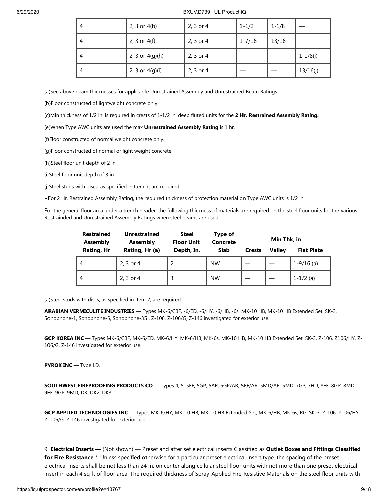| $\overline{4}$ | 2, 3 or $4(b)$    | 2, 3 or 4 | $1 - 1/2$  | $1 - 1/8$ |              |
|----------------|-------------------|-----------|------------|-----------|--------------|
| 4              | 2, 3 or $4(f)$    | 2, 3 or 4 | $1 - 7/16$ | 13/16     |              |
| 4              | 2, 3 or $4(g)(h)$ | 2, 3 or 4 |            |           | $1 - 1/8(j)$ |
| 4              | 2, 3 or $4(g)(i)$ | 2, 3 or 4 |            |           | 13/16(j)     |

(a)See above beam thicknesses for applicable Unrestrained Assembly and Unrestrained Beam Ratings.

(b)Floor constructed of lightweight concrete only.

(c)Min thickness of 1/2 in. is required in crests of 1-1/2 in. deep fluted units for the **2 Hr. Restrained Assembly Rating.**

(e)When Type AWC units are used the max **Unrestrained Assembly Rating** is 1 hr.

(f)Floor constructed of normal weight concrete only.

(g)Floor constructed of normal or light weight concrete.

(h)Steel floor unit depth of 2 in.

(i)Steel floor unit depth of 3 in.

(j)Steel studs with discs, as specified in Item 7, are required.

+For 2 Hr. Restrained Assembly Rating, the required thickness of protection material on Type AWC units is 1/2 in.

For the general floor area under a trench header, the following thickness of materials are required on the steel floor units for the various Restrainded and Unrestrained Assembly Ratings when steel beams are used:

| <b>Restrained</b><br><b>Assembly</b> | <b>Unrestrained</b><br><b>Assembly</b> | <b>Steel</b><br><b>Floor Unit</b> | Type of<br>Concrete |               | Min Thk, in   |                   |
|--------------------------------------|----------------------------------------|-----------------------------------|---------------------|---------------|---------------|-------------------|
| Rating, Hr                           | Rating, Hr (a)                         | Depth, In.                        | <b>Slab</b>         | <b>Crests</b> | <b>Valley</b> | <b>Flat Plate</b> |
| 4                                    | 2, 3 or 4                              |                                   | <b>NW</b>           |               |               | $1-9/16$ (a)      |
| 4                                    | 2, 3 or 4                              |                                   | <b>NW</b>           |               |               | $1 - 1/2$ (a)     |

(a)Steel studs with discs, as specified in Item 7, are required.

**ARABIAN VERMICULITE INDUSTRIES** — Types MK-6/CBF, -6/ED, -6/HY, -6/HB, -6s, MK-10 HB, MK-10 HB Extended Set, SK-3, Sonophone-1, Sonophone-5, Sonophone-35 , Z-106, Z-106/G, Z-146 investigated for exterior use.

**GCP KOREA INC** — Types MK-6/CBF, MK-6/ED, MK-6/HY, MK-6/HB, MK-6s, MK-10 HB, MK-10 HB Extended Set, SK-3, Z-106, Z106/HY, Z-106/G, Z-146 investigated for exterior use.

**PYROK INC** — Type LD.

**SOUTHWEST FIREPROOFING PRODUCTS CO** — Types 4, 5, 5EF, 5GP, 5AR, 5GP/AR, 5EF/AR, 5MD/AR, 5MD, 7GP, 7HD, 8EF, 8GP, 8MD, 9EF, 9GP, 9MD, DK, DK2, DK3.

**GCP APPLIED TECHNOLOGIES INC** — Types MK-6/HY, MK-10 HB, MK-10 HB Extended Set, MK-6/HB, MK-6s, RG, SK-3, Z-106, Z106/HY, Z-106/G, Z-146 investigated for exterior use.

9. **Electrical Inserts —** (Not shown) — Preset and after set electrical inserts Classified as **Outlet Boxes and Fittings Classified for Fire Resistance** \*. Unless specified otherwise for a particular preset electrical insert type, the spacing of the preset electrical inserts shall be not less than 24 in. on center along cellular steel floor units with not more than one preset electrical insert in each 4 sq ft of floor area. The required thickness of Spray-Applied Fire Resistive Materials on the steel floor units with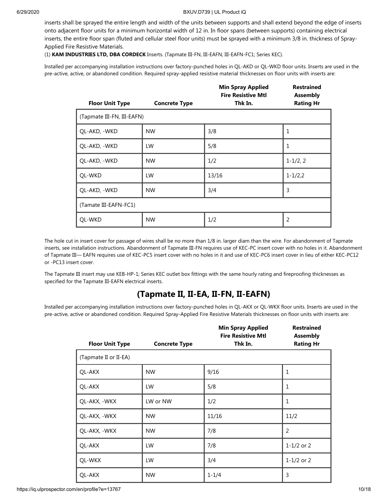inserts shall be sprayed the entire length and width of the units between supports and shall extend beyond the edge of inserts onto adjacent floor units for a minimum horizontal width of 12 in. In floor spans (between supports) containing electrical inserts, the entire floor span (fluted and cellular steel floor units) must be sprayed with a minimum 3/8 in. thickness of Spray-Applied Fire Resistive Materials.

(1) **KAM INDUSTRIES LTD, DBA CORDECK** Inserts. (Tapmate III-FN, III-EAFN, III-EAFN-FC1; Series KEC).

Installed per accompanying installation instructions over factory-punched holes in QL-AKD or QL-WKD floor units. Inserts are used in the pre-active, active, or abandoned condition. Required spray-applied resistive material thicknesses on floor units with inserts are:

|                            |                      | <b>Min Spray Applied</b><br><b>Fire Resistive Mtl</b> | <b>Restrained</b><br><b>Assembly</b> |
|----------------------------|----------------------|-------------------------------------------------------|--------------------------------------|
| <b>Floor Unit Type</b>     | <b>Concrete Type</b> | Thk In.                                               | <b>Rating Hr</b>                     |
| (Tapmate III-FN, III-EAFN) |                      |                                                       |                                      |
| QL-AKD, -WKD               | <b>NW</b>            | 3/8                                                   | 1                                    |
| QL-AKD, -WKD               | LW                   | 5/8                                                   | 1                                    |
| QL-AKD, -WKD               | <b>NW</b>            | 1/2                                                   | $1 - 1/2, 2$                         |
| QL-WKD                     | LW                   | 13/16                                                 | $1 - 1/2,2$                          |
| QL-AKD, -WKD               | <b>NW</b>            | 3/4                                                   | 3                                    |
| (Tamate III-EAFN-FC1)      |                      |                                                       |                                      |
| QL-WKD                     | <b>NW</b>            | 1/2                                                   | 2                                    |

The hole cut in insert cover for passage of wires shall be no more than 1/8 in. larger diam than the wire. For abandonment of Tapmate inserts, see installation instructions. Abandonment of Tapmate III-FN requires use of KEC-PC insert cover with no holes in it. Abandonment of Tapmate III— EAFN requires use of KEC-PC5 insert cover with no holes in it and use of KEC-PC6 insert cover in lieu of either KEC-PC12 or -PC13 insert cover.

The Tapmate III insert may use KEB-HP-1; Series KEC outlet box fittings with the same hourly rating and fireproofing thicknesses as specified for the Tapmate III-EAFN electrical inserts.

#### **(Tapmate II, II-EA, II-FN, II-EAFN)**

Installed per accompanying installation instructions over factory-punched holes in QL-AKX or QL-WKX floor units. Inserts are used in the pre-active, active or abandoned condition. Required Spray-Applied Fire Resistive Materials thicknesses on floor units with inserts are:

|                        |                      | <b>Min Spray Applied</b><br><b>Fire Resistive Mtl</b> | <b>Restrained</b><br><b>Assembly</b> |
|------------------------|----------------------|-------------------------------------------------------|--------------------------------------|
| <b>Floor Unit Type</b> | <b>Concrete Type</b> | Thk In.                                               | <b>Rating Hr</b>                     |
| (Tapmate II or II-EA)  |                      |                                                       |                                      |
| QL-AKX                 | <b>NW</b>            | 9/16                                                  | $\mathbf{1}$                         |
| <b>QL-AKX</b>          | LW                   | 5/8                                                   | 1                                    |
| QL-AKX, -WKX           | LW or NW             | 1/2                                                   | 1                                    |
| QL-AKX, -WKX           | <b>NW</b>            | 11/16                                                 | 11/2                                 |
| QL-AKX, -WKX           | <b>NW</b>            | 7/8                                                   | $\overline{2}$                       |
| <b>QL-AKX</b>          | LW                   | 7/8                                                   | $1 - 1/2$ or 2                       |
| QL-WKX                 | LW                   | 3/4                                                   | $1 - 1/2$ or 2                       |
| <b>QL-AKX</b>          | <b>NW</b>            | $1 - 1/4$                                             | 3                                    |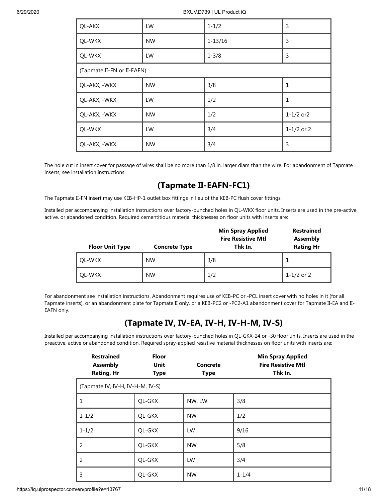| <b>QL-AKX</b> | LW                         | $1 - 1/2$   | 3                |  |  |
|---------------|----------------------------|-------------|------------------|--|--|
| QL-WKX        | <b>NW</b>                  | $1 - 13/16$ | 3                |  |  |
| QL-WKX        | LW                         | $1 - 3/8$   | 3                |  |  |
|               | (Tapmate II-FN or II-EAFN) |             |                  |  |  |
| QL-AKX, -WKX  | <b>NW</b>                  | 3/8         | $\mathbf{1}$     |  |  |
| QL-AKX, -WKX  | LW                         | 1/2         | $\mathbf{1}$     |  |  |
| QL-AKX, -WKX  | <b>NW</b>                  | 1/2         | $1 - 1/2$ or $2$ |  |  |
| QL-WKX        | LW                         | 3/4         | $1 - 1/2$ or 2   |  |  |
| QL-AKX, -WKX  | <b>NW</b>                  | 3/4         | 3                |  |  |

The hole cut in insert cover for passage of wires shall be no more than 1/8 in. larger diam than the wire. For abandonment of Tapmate inserts, see installation instructions.

### **(Tapmate II-EAFN-FC1)**

The Tapmate II-FN insert may use KEB-HP-1 outlet box fittings in lieu of the KEB-PC flush cover fittings.

Installed per accompanying installation instructions over factory-punched holes in QL-WKX floor units. Inserts are used in the pre-active, active, or abandoned condition. Required cementitious material thicknesses on floor units with inserts are:

| <b>Floor Unit Type</b> | <b>Concrete Type</b> | <b>Min Spray Applied</b><br><b>Fire Resistive Mtl</b><br>Thk In. | <b>Restrained</b><br><b>Assembly</b><br><b>Rating Hr</b> |
|------------------------|----------------------|------------------------------------------------------------------|----------------------------------------------------------|
| OL-WKX                 | <b>NW</b>            | 3/8                                                              |                                                          |
| QL-WKX                 | <b>NW</b>            | 1/2                                                              | 1-1/2 or 2                                               |

For abandonment see installation instructions. Abandonment requires use of KEB-PC or -PCL insert cover with no holes in it (for all Tapmate inserts), or an abandonment plate for Tapmate II only, or a KEB-PC2 or -PC2-A1 abandonment cover for Tapmate II-EA and II-EAFN only.

### **(Tapmate IV, IV-EA, IV-H, IV-H-M, IV-S)**

Installed per accompanying installation instructions over factory-punched holes in QL-GKX-24 or -30 floor units. Inserts are used in the preactive, active or abandoned condition. Required spray-applied resistive material thicknesses on floor units with inserts are:

| <b>Restrained</b><br><b>Assembly</b><br><b>Rating, Hr</b> | <b>Floor</b><br>Unit<br><b>Type</b> | <b>Concrete</b><br><b>Type</b> | <b>Min Spray Applied</b><br><b>Fire Resistive Mtl</b><br>Thk In. |  |  |
|-----------------------------------------------------------|-------------------------------------|--------------------------------|------------------------------------------------------------------|--|--|
| (Tapmate IV, IV-H, IV-H-M, IV-S)                          |                                     |                                |                                                                  |  |  |
| $\mathbf{1}$                                              | QL-GKX                              | NW, LW                         | 3/8                                                              |  |  |
| $1 - 1/2$                                                 | QL-GKX                              | <b>NW</b>                      | 1/2                                                              |  |  |
| $1 - 1/2$                                                 | QL-GKX                              | LW                             | 9/16                                                             |  |  |
| $\overline{2}$                                            | QL-GKX                              | <b>NW</b>                      | 5/8                                                              |  |  |
| 2                                                         | QL-GKX                              | LW                             | 3/4                                                              |  |  |
| 3                                                         | QL-GKX                              | <b>NW</b>                      | $1 - 1/4$                                                        |  |  |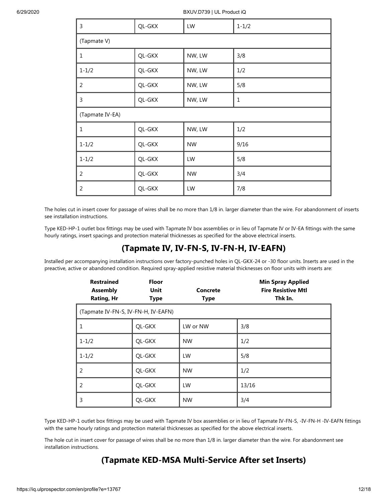| 3               | QL-GKX | LW        | $1 - 1/2$   |
|-----------------|--------|-----------|-------------|
| (Tapmate V)     |        |           |             |
| $\mathbf{1}$    | QL-GKX | NW, LW    | 3/8         |
| $1 - 1/2$       | QL-GKX | NW, LW    | 1/2         |
| $\overline{2}$  | QL-GKX | NW, LW    | 5/8         |
| 3               | QL-GKX | NW, LW    | $\mathbf 1$ |
| (Tapmate IV-EA) |        |           |             |
| $\mathbf{1}$    | QL-GKX | NW, LW    | 1/2         |
|                 |        |           |             |
| $1 - 1/2$       | QL-GKX | <b>NW</b> | 9/16        |
| $1 - 1/2$       | QL-GKX | LW        | 5/8         |
| $\overline{2}$  | QL-GKX | <b>NW</b> | 3/4         |

The holes cut in insert cover for passage of wires shall be no more than 1/8 in. larger diameter than the wire. For abandonment of inserts see installation instructions.

Type KED-HP-1 outlet box fittings may be used with Tapmate IV box assemblies or in lieu of Tapmate IV or IV-EA fittings with the same hourly ratings, insert spacings and protection material thicknesses as specified for the above electrical inserts.

#### **(Tapmate IV, IV-FN-S, IV-FN-H, IV-EAFN)**

Installed per accompanying installation instructions over factory-punched holes in QL-GKX-24 or -30 floor units. Inserts are used in the preactive, active or abandoned condition. Required spray-applied resistive material thicknesses on floor units with inserts are:

| <b>Restrained</b><br><b>Assembly</b><br><b>Rating, Hr</b> | <b>Floor</b><br>Unit<br><b>Type</b> | <b>Concrete</b><br><b>Type</b> | <b>Min Spray Applied</b><br><b>Fire Resistive Mtl</b><br>Thk In. |
|-----------------------------------------------------------|-------------------------------------|--------------------------------|------------------------------------------------------------------|
| (Tapmate IV-FN-S, IV-FN-H, IV-EAFN)                       |                                     |                                |                                                                  |
| $\mathbf{1}$                                              | QL-GKX                              | LW or NW                       | 3/8                                                              |
| $1 - 1/2$                                                 | QL-GKX                              | <b>NW</b>                      | 1/2                                                              |
| $1 - 1/2$                                                 | QL-GKX                              | LW                             | 5/8                                                              |
| 2                                                         | QL-GKX                              | <b>NW</b>                      | 1/2                                                              |
| $\overline{2}$                                            | QL-GKX                              | LW                             | 13/16                                                            |
| 3                                                         | QL-GKX                              | <b>NW</b>                      | 3/4                                                              |

Type KED-HP-1 outlet box fittings may be used with Tapmate IV box assemblies or in lieu of Tapmate IV-FN-S, -IV-FN-H -IV-EAFN fittings with the same hourly ratings and protection material thicknesses as specified for the above electrical inserts.

The hole cut in insert cover for passage of wires shall be no more than 1/8 in. larger diameter than the wire. For abandonment see installation instructions.

### **(Tapmate KED-MSA Multi-Service After set Inserts)**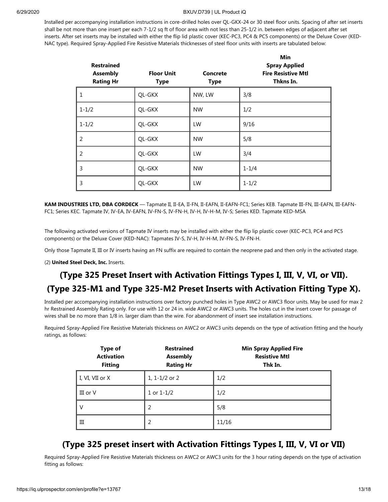Installed per accompanying installation instructions in core-drilled holes over QL-GKX-24 or 30 steel floor units. Spacing of after set inserts shall be not more than one insert per each 7-1/2 sq ft of floor area with not less than 25-1/2 in. between edges of adjacent after set inserts. After set inserts may be installed with either the flip lid plastic cover (KEC-PC3, PC4 & PC5 components) or the Deluxe Cover (KED-NAC type). Required Spray-Applied Fire Resistive Materials thicknesses of steel floor units with inserts are tabulated below:

| <b>Restrained</b><br><b>Assembly</b><br><b>Rating Hr</b> | <b>Floor Unit</b><br><b>Type</b> | Concrete<br><b>Type</b> | Min<br><b>Spray Applied</b><br><b>Fire Resistive Mtl</b><br>Thkns In. |
|----------------------------------------------------------|----------------------------------|-------------------------|-----------------------------------------------------------------------|
| $\mathbf{1}$                                             | QL-GKX                           | NW, LW                  | 3/8                                                                   |
| $1 - 1/2$                                                | QL-GKX                           | <b>NW</b>               | 1/2                                                                   |
| $1 - 1/2$                                                | QL-GKX                           | LW                      | 9/16                                                                  |
| 2                                                        | QL-GKX                           | <b>NW</b>               | 5/8                                                                   |
| 2                                                        | QL-GKX                           | LW                      | 3/4                                                                   |
| 3                                                        | QL-GKX                           | <b>NW</b>               | $1 - 1/4$                                                             |
| 3                                                        | QL-GKX                           | LW                      | $1 - 1/2$                                                             |

**KAM INDUSTRIES LTD, DBA CORDECK** — Tapmate II, II-EA, II-FN, II-EAFN, II-EAFN-FC1; Series KEB. Tapmate III-FN, III-EAFN, III-EAFN-FC1; Series KEC. Tapmate IV, IV-EA, IV-EAFN, IV-FN-S, IV-FN-H, IV-H, IV-H-M, IV-S; Series KED. Tapmate KED-MSA

The following activated versions of Tapmate IV inserts may be installed with either the flip lip plastic cover (KEC-PC3, PC4 and PC5 components) or the Deluxe Cover (KED-NAC): Tapmates IV-S, IV-H, IV-H-M, IV-FN-S, IV-FN-H.

Only those Tapmate II, III or IV inserts having an FN suffix are required to contain the neoprene pad and then only in the activated stage.

(2) **United Steel Deck, Inc.** Inserts.

### **(Type 325 Preset Insert with Activation Fittings Types I, III, V, VI, or VII).**

#### **(Type 325-M1 and Type 325-M2 Preset Inserts with Activation Fitting Type X).**

Installed per accompanying installation instructions over factory punched holes in Type AWC2 or AWC3 floor units. May be used for max 2 hr Restrained Assembly Rating only. For use with 12 or 24 in. wide AWC2 or AWC3 units. The holes cut in the insert cover for passage of wires shall be no more than 1/8 in. larger diam than the wire. For abandonment of insert see installation instructions.

Required Spray-Applied Fire Resistive Materials thickness on AWC2 or AWC3 units depends on the type of activation fitting and the hourly ratings, as follows:

| <b>Type of</b><br><b>Activation</b><br><b>Fitting</b> | <b>Restrained</b><br><b>Assembly</b><br><b>Rating Hr</b> | <b>Min Spray Applied Fire</b><br><b>Resistive Mtl</b><br>Thk In. |
|-------------------------------------------------------|----------------------------------------------------------|------------------------------------------------------------------|
| I, VI, VII or X                                       | 1, $1 - 1/2$ or 2                                        | 1/2                                                              |
| III or $V$                                            | $1$ or $1-1/2$                                           | 1/2                                                              |
| V                                                     | 2                                                        | 5/8                                                              |
| Ш                                                     | 2                                                        | 11/16                                                            |

#### **(Type 325 preset insert with Activation Fittings Types I, III, V, VI or VII)**

Required Spray-Applied Fire Resistive Materials thickness on AWC2 or AWC3 units for the 3 hour rating depends on the type of activation fitting as follows: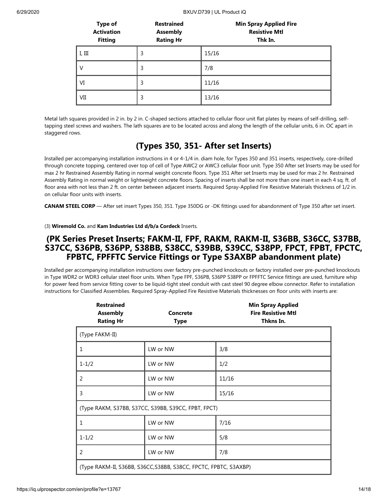| <b>Type of</b><br><b>Activation</b><br><b>Fitting</b> | <b>Restrained</b><br><b>Assembly</b><br><b>Rating Hr</b> | <b>Min Spray Applied Fire</b><br><b>Resistive Mtl</b><br>Thk In. |
|-------------------------------------------------------|----------------------------------------------------------|------------------------------------------------------------------|
| I, III                                                | 3                                                        | 15/16                                                            |
| V                                                     | 3                                                        | 7/8                                                              |
| VI                                                    | 3                                                        | 11/16                                                            |
| VII                                                   | 3                                                        | 13/16                                                            |

Metal lath squares provided in 2 in. by 2 in. C-shaped sections attached to cellular floor unit flat plates by means of self-drilling, selftapping steel screws and washers. The lath squares are to be located across and along the length of the cellular units, 6 in. OC apart in staggered rows.

### **(Types 350, 351- After set Inserts)**

Installed per accompanying installation instructions in 4 or 4-1/4 in. diam hole, for Types 350 and 351 inserts, respectively, core-drilled through concrete topping, centered over top of cell of Type AWC2 or AWC3 cellular floor unit. Type 350 After set Inserts may be used for max 2 hr Restrained Assembly Rating in normal weight concrete floors. Type 351 After set Inserts may be used for max 2 hr. Restrained Assembly Rating in normal weight or lightweight concrete floors. Spacing of inserts shall be not more than one insert in each 4 sq. ft. of floor area with not less than 2 ft. on center between adjacent inserts. Required Spray-Applied Fire Resistive Materials thickness of 1/2 in. on cellular floor units with inserts.

**CANAM STEEL CORP** — After set insert Types 350, 351. Type 350DG or -DK fittings used for abandonment of Type 350 after set insert.

(3) **Wiremold Co.** and **Kam Industries Ltd d/b/a Cordeck** Inserts.

#### **(PK Series Preset Inserts; FAKM-II, FPF, RAKM, RAKM-II, S36BB, S36CC, S37BB, S37CC, S36PB, S36PP, S38BB, S38CC, S39BB, S39CC, S38PP, FPCT, FPBT, FPCTC, FPBTC, FPFFTC Service Fittings or Type S3AXBP abandonment plate)**

Installed per accompanying installation instructions over factory pre-punched knockouts or factory installed over pre-punched knockouts in Type WDR2 or WDR3 cellular steel floor units. When Type FPF, S36PB, S36PP S38PP or FPFFTC Service fittings are used, furniture whip for power feed from service fitting cover to be liquid-tight steel conduit with cast steel 90 degree elbow connector. Refer to installation instructions for Classified Assemblies. Required Spray-Applied Fire Resistive Materials thicknesses on floor units with inserts are:

| <b>Restrained</b><br><b>Assembly</b><br><b>Rating Hr</b>         | Concrete<br>Type                                    | <b>Min Spray Applied</b><br><b>Fire Resistive Mtl</b><br>Thkns In. |
|------------------------------------------------------------------|-----------------------------------------------------|--------------------------------------------------------------------|
| (Type FAKM-II)                                                   |                                                     |                                                                    |
| $\mathbf{1}$                                                     | LW or NW                                            | 3/8                                                                |
| $1 - 1/2$                                                        | LW or NW                                            | 1/2                                                                |
| 2                                                                | LW or NW                                            | 11/16                                                              |
| 3                                                                | LW or NW                                            | 15/16                                                              |
|                                                                  | (Type RAKM, S37BB, S37CC, S39BB, S39CC, FPBT, FPCT) |                                                                    |
| $\mathbf{1}$                                                     | LW or NW                                            | 7/16                                                               |
| $1 - 1/2$                                                        | LW or NW                                            | 5/8                                                                |
| 2                                                                | LW or NW                                            | 7/8                                                                |
| (Type RAKM-II, S36BB, S36CC, S38BB, S38CC, FPCTC, FPBTC, S3AXBP) |                                                     |                                                                    |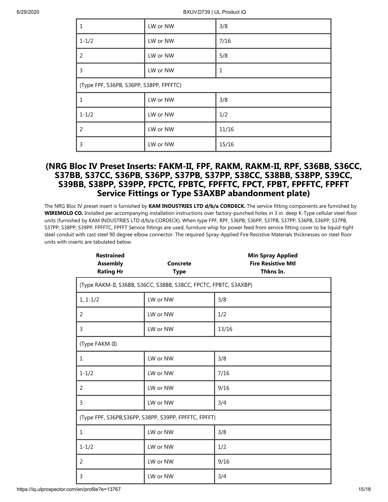| 1                                       | LW or NW | 3/8          |
|-----------------------------------------|----------|--------------|
| $1 - 1/2$                               | LW or NW | 7/16         |
| 2                                       | LW or NW | 5/8          |
| 3                                       | LW or NW | $\mathbf{1}$ |
| (Type FPF, S36PB, S36PP, S38PP, FPFFTC) |          |              |
| 1                                       | LW or NW | 3/8          |
| $1 - 1/2$                               | LW or NW | 1/2          |
| 2                                       | LW or NW | 11/16        |
| 3                                       | LW or NW | 15/16        |

#### **(NRG Bloc IV Preset Inserts: FAKM-II, FPF, RAKM, RAKM-II, RPF, S36BB, S36CC, S37BB, S37CC, S36PB, S36PP, S37PB, S37PP, S38CC, S38BB, S38PP, S39CC, S39BB, S38PP, S39PP, FPCTC, FPBTC, FPFFTC, FPCT, FPBT, FPFFTC, FPFFT Service Fittings or Type S3AXBP abandonment plate)**

The NRG Bloc IV preset insert is furnished by **KAM INDUSTRIES LTD d/b/a CORDECK.** The service fitting components are furnished by **WIREMOLD CO.** Installed per accompanying installation instructions over factory-punched holes in 3 in. deep K-Type cellular steel floor units (furnished by KAM INDUSTRIES LTD d/b/a CORDECK). When type FPF, RPF, S36PB, S36PP, S37PB, S37PP, S36PB, S36PP, S37PB, S37PP, S38PP, S39PP, FPFFTC, FPFFT Service fittings are used, furniture whip for power feed from service fitting cover to be liquid-tight steel conduit with cast steel 90 degree elbow connector. The required Spray-Applied Fire Resistive Materials thicknesses on steel floor units with inserts are tabulated below:

| <b>Restrained</b><br><b>Assembly</b><br><b>Rating Hr</b> | <b>Concrete</b><br><b>Type</b>                                   | <b>Min Spray Applied</b><br><b>Fire Resistive Mtl</b><br>Thkns In. |
|----------------------------------------------------------|------------------------------------------------------------------|--------------------------------------------------------------------|
|                                                          | (Type RAKM-II, S36BB, S36CC, S38BB, S38CC, FPCTC, FPBTC, S3AXBP) |                                                                    |
| $1, 1-1/2$                                               | LW or NW                                                         | 3/8                                                                |
| 2                                                        | LW or NW                                                         | 1/2                                                                |
| 3                                                        | LW or NW                                                         | 13/16                                                              |
| (Type FAKM-II)                                           |                                                                  |                                                                    |
| 1                                                        | LW or NW                                                         | 3/8                                                                |
| $1 - 1/2$                                                | LW or NW                                                         | 7/16                                                               |
| 2                                                        | LW or NW                                                         | 9/16                                                               |
| 3                                                        | LW or NW                                                         | 3/4                                                                |
| (Type FPF, S36PB, S36PP, S38PP, S39PP, FPFFTC, FPFFT)    |                                                                  |                                                                    |
| 1                                                        | LW or NW                                                         | 3/8                                                                |
| $1 - 1/2$                                                | LW or NW                                                         | 1/2                                                                |
| 2                                                        | LW or NW                                                         | 9/16                                                               |
| 3                                                        | LW or NW                                                         | 3/4                                                                |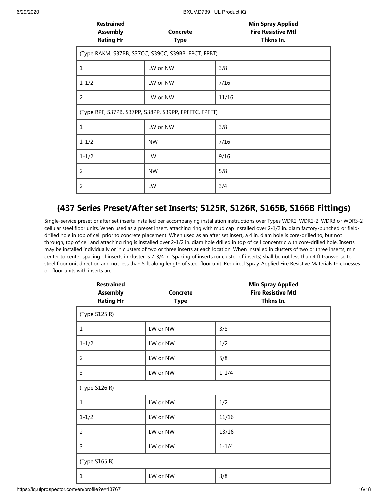| <b>Restrained</b><br><b>Assembly</b><br><b>Rating Hr</b> | <b>Concrete</b><br><b>Type</b> | <b>Min Spray Applied</b><br><b>Fire Resistive Mtl</b><br>Thkns In. |
|----------------------------------------------------------|--------------------------------|--------------------------------------------------------------------|
| (Type RAKM, S37BB, S37CC, S39CC, S39BB, FPCT, FPBT)      |                                |                                                                    |
| $\mathbf{1}$                                             | LW or NW                       | 3/8                                                                |
| $1 - 1/2$                                                | LW or NW                       | 7/16                                                               |
| $\overline{2}$                                           | LW or NW                       | 11/16                                                              |
| (Type RPF, S37PB, S37PP, S38PP, S39PP, FPFFTC, FPFFT)    |                                |                                                                    |
| 1                                                        | LW or NW                       | 3/8                                                                |
| $1 - 1/2$                                                | <b>NW</b>                      | 7/16                                                               |
| $1 - 1/2$                                                | LW                             | 9/16                                                               |
| 2                                                        | <b>NW</b>                      | 5/8                                                                |
| 2                                                        | LW                             | 3/4                                                                |

### **(437 Series Preset/After set Inserts; S125R, S126R, S165B, S166B Fittings)**

Single-service preset or after set inserts installed per accompanying installation instructions over Types WDR2, WDR2-2, WDR3 or WDR3-2 cellular steel floor units. When used as a preset insert, attaching ring with mud cap installed over 2-1/2 in. diam factory-punched or fielddrilled hole in top of cell prior to concrete placement. When used as an after set insert, a 4 in. diam hole is core-drilled to, but not through, top of cell and attaching ring is installed over 2-1/2 in. diam hole drilled in top of cell concentric with core-drilled hole. Inserts may be installed individually or in clusters of two or three inserts at each location. When installed in clusters of two or three inserts, min center to center spacing of inserts in cluster is 7-3/4 in. Spacing of inserts (or cluster of inserts) shall be not less than 4 ft transverse to steel floor unit direction and not less than 5 ft along length of steel floor unit. Required Spray-Applied Fire Resistive Materials thicknesses on floor units with inserts are:

| <b>Restrained</b><br><b>Assembly</b><br><b>Rating Hr</b> | Concrete<br><b>Type</b> | <b>Min Spray Applied</b><br><b>Fire Resistive Mtl</b><br>Thkns In. |
|----------------------------------------------------------|-------------------------|--------------------------------------------------------------------|
| (Type S125 R)                                            |                         |                                                                    |
| $\mathbf{1}$                                             | LW or NW                | 3/8                                                                |
| $1 - 1/2$                                                | LW or NW                | 1/2                                                                |
| $\overline{2}$                                           | LW or NW                | 5/8                                                                |
| 3                                                        | LW or NW                | $1 - 1/4$                                                          |
| (Type S126 R)                                            |                         |                                                                    |
| $\mathbf{1}$                                             | LW or NW                | 1/2                                                                |
| $1 - 1/2$                                                | LW or NW                | 11/16                                                              |
| 2                                                        | LW or NW                | 13/16                                                              |
| 3                                                        | LW or NW                | $1 - 1/4$                                                          |
| (Type S165 B)                                            |                         |                                                                    |
| 1                                                        | LW or NW                | 3/8                                                                |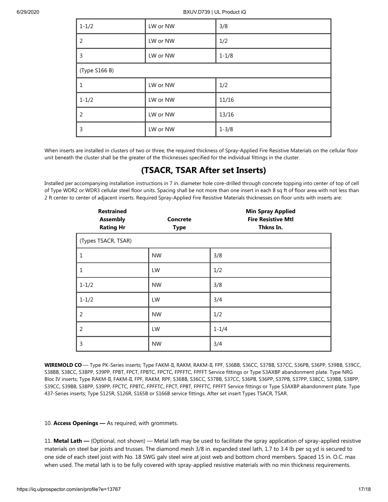| $1 - 1/2$     | LW or NW | 3/8       |
|---------------|----------|-----------|
| 2             | LW or NW | 1/2       |
| 3             | LW or NW | $1 - 1/8$ |
| (Type S166 B) |          |           |
| 1             | LW or NW | 1/2       |
| $1 - 1/2$     | LW or NW | 11/16     |
| 2             | LW or NW | 13/16     |
| 3             | LW or NW | $1 - 3/8$ |

When inserts are installed in clusters of two or three, the required thickness of Spray-Applied Fire Resistive Materials on the cellular floor unit beneath the cluster shall be the greater of the thicknesses specified for the individual fittings in the cluster.

### **(TSACR, TSAR After set Inserts)**

Installed per accompanying installation instructions in 7 in. diameter hole core-drilled through concrete topping into center of top of cell of Type WDR2 or WDR3 cellular steel floor units. Spacing shall be not more than one insert in each 8 sq ft of floor area with not less than 2 ft center to center of adjacent inserts. Required Spray-Applied Fire Resistive Materials thicknesses on floor units with inserts are:

| <b>Restrained</b><br><b>Assembly</b><br><b>Rating Hr</b> | <b>Concrete</b><br><b>Type</b> | <b>Min Spray Applied</b><br><b>Fire Resistive Mtl</b><br>Thkns In. |
|----------------------------------------------------------|--------------------------------|--------------------------------------------------------------------|
| (Types TSACR, TSAR)                                      |                                |                                                                    |
| 1                                                        | <b>NW</b>                      | 3/8                                                                |
| 1                                                        | LW                             | 1/2                                                                |
| $1 - 1/2$                                                | <b>NW</b>                      | 3/8                                                                |
| $1 - 1/2$                                                | LW                             | 3/4                                                                |
| 2                                                        | <b>NW</b>                      | 1/2                                                                |
| $\overline{2}$                                           | LW                             | $1 - 1/4$                                                          |
| 3                                                        | <b>NW</b>                      | 3/4                                                                |

**WIREMOLD CO** — Type PK-Series inserts; Type FAKM-II, RAKM, RAKM-II, FPF, S36BB, S36CC, S37BB, S37CC, S36PB, S36PP, S39BB, S39CC, S38BB, S38CC, S38PP, S39PP, FPBT, FPCT, FPBTC, FPCTC, FPFFTC, FPFFT Service fittings or Type S3AXBP abandonment plate. Type NRG Bloc IV inserts; Type RAKM-II, FAKM-II, FPF, RAKM, RPF, S36BB, S36CC, S37BB, S37CC, S36PB, S36PP, S37PB, S37PP, S38CC, S39BB, S38PP, S39CC, S39BB, S38PP, S39PP, FPCTC, FPBTC, FPFFTC, FPCT, FPBT, FPFFTC, FPFFT Service fittings or Type S3AXBP abandonment plate. Type 437-Series inserts; Type S125R, S126R, S165B or S166B service fittings. After set insert Types TSACR, TSAR.

#### 10. **Access Openings —** As required, with grommets.

11. **Metal Lath —** (Optional, not shown) — Metal lath may be used to facilitate the spray application of spray-applied resistive materials on steel bar joists and trusses. The diamond mesh 3/8 in. expanded steel lath, 1.7 to 3.4 lb per sq yd is secured to one side of each steel joist with No. 18 SWG galv steel wire at joist web and bottom chord members. Spaced 15 in. O.C. max when used. The metal lath is to be fully covered with spray-applied resistive materials with no min thickness requirements.